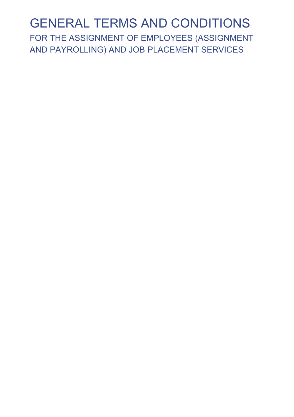## GENERAL TERMS AND CONDITIONS

FOR THE ASSIGNMENT OF EMPLOYEES (ASSIGNMENT AND PAYROLLING) AND JOB PLACEMENT SERVICES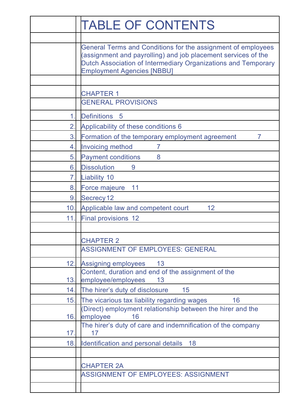|              | <b>TABLE OF CONTENTS</b>                                                                                                                                                                                                            |
|--------------|-------------------------------------------------------------------------------------------------------------------------------------------------------------------------------------------------------------------------------------|
|              |                                                                                                                                                                                                                                     |
|              | General Terms and Conditions for the assignment of employees<br>(assignment and payrolling) and job placement services of the<br>Dutch Association of Intermediary Organizations and Temporary<br><b>Employment Agencies [NBBU]</b> |
|              |                                                                                                                                                                                                                                     |
|              | <b>CHAPTER 1</b><br><b>GENERAL PROVISIONS</b>                                                                                                                                                                                       |
|              |                                                                                                                                                                                                                                     |
| 1            | <b>Definitions</b><br>-5                                                                                                                                                                                                            |
| $\mathbf{2}$ | Applicability of these conditions 6                                                                                                                                                                                                 |
| 3.           | Formation of the temporary employment agreement<br>7                                                                                                                                                                                |
| 4            | <b>Invoicing method</b><br>7                                                                                                                                                                                                        |
| 5.           | <b>Payment conditions</b><br>8                                                                                                                                                                                                      |
| 6.           | <b>Dissolution</b><br>9                                                                                                                                                                                                             |
| 7.           | Liability 10                                                                                                                                                                                                                        |
| 8.           | Force majeure<br>11                                                                                                                                                                                                                 |
| 9            | Secrecy 12                                                                                                                                                                                                                          |
| 10.          | Applicable law and competent court<br>12                                                                                                                                                                                            |
| 11.          | <b>Final provisions 12</b>                                                                                                                                                                                                          |
|              |                                                                                                                                                                                                                                     |
|              | <b>CHAPTER 2</b>                                                                                                                                                                                                                    |
|              | ASSIGNMENT OF EMPLOYEES: GENERAL                                                                                                                                                                                                    |
| 12.          | Assigning employees<br>13                                                                                                                                                                                                           |
|              | Content, duration and end of the assignment of the                                                                                                                                                                                  |
| 13.          | employee/employees<br>13                                                                                                                                                                                                            |
| 14.          | The hirer's duty of disclosure<br>15                                                                                                                                                                                                |
| 15.          | The vicarious tax liability regarding wages<br>16                                                                                                                                                                                   |
| 16.          | (Direct) employment relationship between the hirer and the<br>employee<br>16                                                                                                                                                        |
|              | The hirer's duty of care and indemnification of the company                                                                                                                                                                         |
| 17.          | 17                                                                                                                                                                                                                                  |
| 18.          | Identification and personal details<br>18                                                                                                                                                                                           |
|              |                                                                                                                                                                                                                                     |
|              | CHAPTER 2A                                                                                                                                                                                                                          |
|              | ASSIGNMENT OF EMPLOYEES: ASSIGNMENT                                                                                                                                                                                                 |
|              |                                                                                                                                                                                                                                     |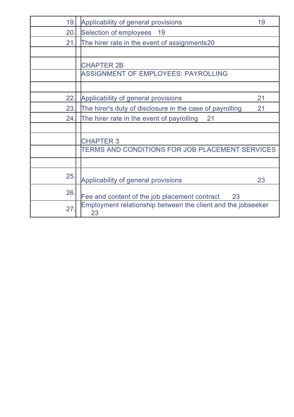| 19. | Applicability of general provisions<br>19                          |  |
|-----|--------------------------------------------------------------------|--|
| 20. | Selection of employees 19                                          |  |
| 21  | The hirer rate in the event of assignments20                       |  |
|     |                                                                    |  |
|     | <b>CHAPTER 2B</b>                                                  |  |
|     | ASSIGNMENT OF EMPLOYEES: PAYROLLING                                |  |
|     |                                                                    |  |
| 22. | 21<br>Applicability of general provisions                          |  |
| 23. | The hirer's duty of disclosure in the case of payrolling<br>21     |  |
| 24. | The hirer rate in the event of payrolling<br>21                    |  |
|     |                                                                    |  |
|     | <b>CHAPTER 3</b>                                                   |  |
|     | TERMS AND CONDITIONS FOR JOB PLACEMENT SERVICES                    |  |
|     |                                                                    |  |
| 25. | Applicability of general provisions<br>23                          |  |
| 26. | Fee and content of the job placement contract 23                   |  |
| 27  | Employment relationship between the client and the jobseeker<br>23 |  |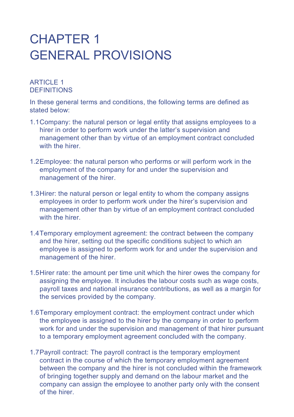## CHAPTER 1 GENERAL PROVISIONS

## **ARTICLE 1 DEFINITIONS**

In these general terms and conditions, the following terms are defined as stated below:

- 1.1 Company: the natural person or legal entity that assigns employees to a hirer in order to perform work under the latter's supervision and management other than by virtue of an employment contract concluded with the hirer.
- 1.2 Employee: the natural person who performs or will perform work in the employment of the company for and under the supervision and management of the hirer.
- 1.3 Hirer: the natural person or legal entity to whom the company assigns employees in order to perform work under the hirer's supervision and management other than by virtue of an employment contract concluded with the hirer.
- 1.4 Temporary employment agreement: the contract between the company and the hirer, setting out the specific conditions subject to which an employee is assigned to perform work for and under the supervision and management of the hirer.
- 1.5 Hirer rate: the amount per time unit which the hirer owes the company for assigning the employee. It includes the labour costs such as wage costs, payroll taxes and national insurance contributions, as well as a margin for the services provided by the company.
- 1.6 Temporary employment contract: the employment contract under which the employee is assigned to the hirer by the company in order to perform work for and under the supervision and management of that hirer pursuant to a temporary employment agreement concluded with the company.
- 1.7 Payroll contract: The payroll contract is the temporary employment contract in the course of which the temporary employment agreement between the company and the hirer is not concluded within the framework of bringing together supply and demand on the labour market and the company can assign the employee to another party only with the consent of the hirer.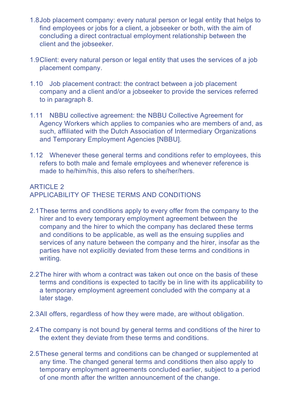- 1.8 Job placement company: every natural person or legal entity that helps to find employees or jobs for a client, a jobseeker or both, with the aim of concluding a direct contractual employment relationship between the client and the jobseeker.
- 1.9 Client: every natural person or legal entity that uses the services of a job placement company.
- 1.10 Job placement contract: the contract between a job placement company and a client and/or a jobseeker to provide the services referred to in paragraph 8.
- 1.11 NBBU collective agreement: the NBBU Collective Agreement for Agency Workers which applies to companies who are members of and, as such, affiliated with the Dutch Association of Intermediary Organizations and Temporary Employment Agencies [NBBU].
- 1.12 Whenever these general terms and conditions refer to employees, this refers to both male and female employees and whenever reference is made to he/him/his, this also refers to she/her/hers.

## ARTICLE 2 APPLICABILITY OF THESE TERMS AND CONDITIONS

- 2.1 These terms and conditions apply to every offer from the company to the hirer and to every temporary employment agreement between the company and the hirer to which the company has declared these terms and conditions to be applicable, as well as the ensuing supplies and services of any nature between the company and the hirer, insofar as the parties have not explicitly deviated from these terms and conditions in writing.
- 2.2 The hirer with whom a contract was taken out once on the basis of these terms and conditions is expected to tacitly be in line with its applicability to a temporary employment agreement concluded with the company at a later stage.
- 2.3 All offers, regardless of how they were made, are without obligation.
- 2.4 The company is not bound by general terms and conditions of the hirer to the extent they deviate from these terms and conditions.
- 2.5 These general terms and conditions can be changed or supplemented at any time. The changed general terms and conditions then also apply to temporary employment agreements concluded earlier, subject to a period of one month after the written announcement of the change.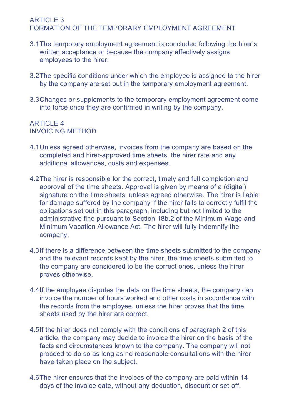#### ARTICLE 3 FORMATION OF THE TEMPORARY EMPLOYMENT AGREEMENT

- 3.1 The temporary employment agreement is concluded following the hirer's written acceptance or because the company effectively assigns employees to the hirer.
- 3.2 The specific conditions under which the employee is assigned to the hirer by the company are set out in the temporary employment agreement.
- 3.3 Changes or supplements to the temporary employment agreement come into force once they are confirmed in writing by the company.

#### ARTICLE  $4$ INVOICING METHOD

- 4.1 Unless agreed otherwise, invoices from the company are based on the completed and hirer-approved time sheets, the hirer rate and any additional allowances, costs and expenses.
- 4.2 The hirer is responsible for the correct, timely and full completion and approval of the time sheets. Approval is given by means of a (digital) signature on the time sheets, unless agreed otherwise. The hirer is liable for damage suffered by the company if the hirer fails to correctly fulfil the obligations set out in this paragraph, including but not limited to the administrative fine pursuant to Section 18b.2 of the Minimum Wage and Minimum Vacation Allowance Act. The hirer will fully indemnify the company.
- 4.3 If there is a difference between the time sheets submitted to the company and the relevant records kept by the hirer, the time sheets submitted to the company are considered to be the correct ones, unless the hirer proves otherwise.
- 4.4 If the employee disputes the data on the time sheets, the company can invoice the number of hours worked and other costs in accordance with the records from the employee, unless the hirer proves that the time sheets used by the hirer are correct.
- 4.5 If the hirer does not comply with the conditions of paragraph 2 of this article, the company may decide to invoice the hirer on the basis of the facts and circumstances known to the company. The company will not proceed to do so as long as no reasonable consultations with the hirer have taken place on the subject.
- 4.6 The hirer ensures that the invoices of the company are paid within 14 days of the invoice date, without any deduction, discount or set-off.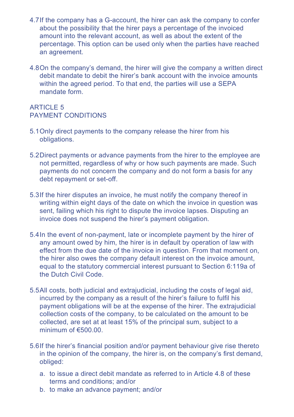- 4.7 If the company has a G-account, the hirer can ask the company to confer about the possibility that the hirer pays a percentage of the invoiced amount into the relevant account, as well as about the extent of the percentage. This option can be used only when the parties have reached an agreement.
- 4.8 On the company's demand, the hirer will give the company a written direct debit mandate to debit the hirer's bank account with the invoice amounts within the agreed period. To that end, the parties will use a SEPA mandate form.

## ARTICLE 5 PAYMENT CONDITIONS

- 5.1 Only direct payments to the company release the hirer from his obligations.
- 5.2 Direct payments or advance payments from the hirer to the employee are not permitted, regardless of why or how such payments are made. Such payments do not concern the company and do not form a basis for any debt repayment or set-off.
- 5.3 If the hirer disputes an invoice, he must notify the company thereof in writing within eight days of the date on which the invoice in question was sent, failing which his right to dispute the invoice lapses. Disputing an invoice does not suspend the hirer's payment obligation.
- 5.4 In the event of non-payment, late or incomplete payment by the hirer of any amount owed by him, the hirer is in default by operation of law with effect from the due date of the invoice in question. From that moment on, the hirer also owes the company default interest on the invoice amount, equal to the statutory commercial interest pursuant to Section 6:119a of the Dutch Civil Code.
- 5.5 All costs, both judicial and extrajudicial, including the costs of legal aid, incurred by the company as a result of the hirer's failure to fulfil his payment obligations will be at the expense of the hirer. The extrajudicial collection costs of the company, to be calculated on the amount to be collected, are set at at least 15% of the principal sum, subject to a minimum of €500.00.
- 5.6 If the hirer's financial position and/or payment behaviour give rise thereto in the opinion of the company, the hirer is, on the company's first demand, obliged:
	- a. to issue a direct debit mandate as referred to in Article 4.8 of these terms and conditions; and/or
	- b. to make an advance payment; and/or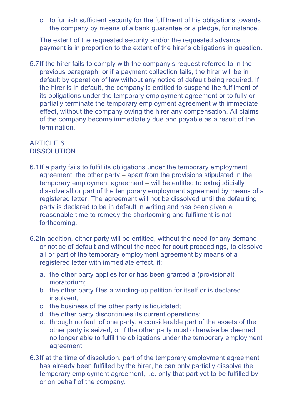c. to furnish sufficient security for the fulfilment of his obligations towards the company by means of a bank guarantee or a pledge, for instance.

 The extent of the requested security and/or the requested advance payment is in proportion to the extent of the hirer's obligations in question.

5.7 If the hirer fails to comply with the company's request referred to in the previous paragraph, or if a payment collection fails, the hirer will be in default by operation of law without any notice of default being required. If the hirer is in default, the company is entitled to suspend the fulfilment of its obligations under the temporary employment agreement or to fully or partially terminate the temporary employment agreement with immediate effect, without the company owing the hirer any compensation. All claims of the company become immediately due and payable as a result of the termination.

#### ARTICLE 6 **DISSOLUTION**

- 6.1 If a party fails to fulfil its obligations under the temporary employment agreement, the other party – apart from the provisions stipulated in the temporary employment agreement – will be entitled to extrajudicially dissolve all or part of the temporary employment agreement by means of a registered letter. The agreement will not be dissolved until the defaulting party is declared to be in default in writing and has been given a reasonable time to remedy the shortcoming and fulfilment is not forthcoming.
- 6.2 In addition, either party will be entitled, without the need for any demand or notice of default and without the need for court proceedings, to dissolve all or part of the temporary employment agreement by means of a registered letter with immediate effect, if:
	- a. the other party applies for or has been granted a (provisional) moratorium;
	- b. the other party files a winding-up petition for itself or is declared insolvent;
	- c. the business of the other party is liquidated;
	- d. the other party discontinues its current operations;
	- e. through no fault of one party, a considerable part of the assets of the other party is seized, or if the other party must otherwise be deemed no longer able to fulfil the obligations under the temporary employment agreement.
- 6.3 If at the time of dissolution, part of the temporary employment agreement has already been fulfilled by the hirer, he can only partially dissolve the temporary employment agreement, i.e. only that part yet to be fulfilled by or on behalf of the company.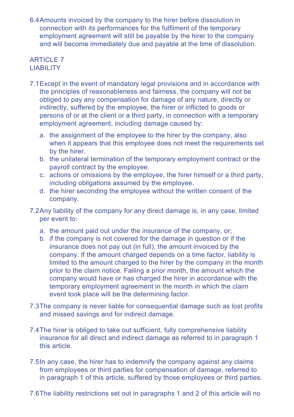6.4 Amounts invoiced by the company to the hirer before dissolution in connection with its performances for the fulfilment of the temporary employment agreement will still be payable by the hirer to the company and will become immediately due and payable at the time of dissolution.

## **ARTICLE 7 LIABILITY**

- 7.1 Except in the event of mandatory legal provisions and in accordance with the principles of reasonableness and fairness, the company will not be obliged to pay any compensation for damage of any nature, directly or indirectly, suffered by the employee, the hirer or inflicted to goods or persons of or at the client or a third party, in connection with a temporary employment agreement, including damage caused by:
	- a. the assignment of the employee to the hirer by the company, also when it appears that this employee does not meet the requirements set by the hirer.
	- b. the unilateral termination of the temporary employment contract or the payroll contract by the employee.
	- c. actions or omissions by the employee, the hirer himself or a third party, including obligations assumed by the employee.
	- d. the hirer seconding the employee without the written consent of the company.
- 7.2 Any liability of the company for any direct damage is, in any case, limited per event to:
	- a. the amount paid out under the insurance of the company, or;
	- b. if the company is not covered for the damage in question or if the insurance does not pay out (in full), the amount invoiced by the company. If the amount charged depends on a time factor, liability is limited to the amount charged to the hirer by the company in the month prior to the claim notice. Failing a prior month, the amount which the company would have or has charged the hirer in accordance with the temporary employment agreement in the month in which the claim event took place will be the determining factor.
- 7.3 The company is never liable for consequential damage such as lost profits and missed savings and for indirect damage.
- 7.4 The hirer is obliged to take out sufficient, fully comprehensive liability insurance for all direct and indirect damage as referred to in paragraph 1 this article.
- 7.5 In any case, the hirer has to indemnify the company against any claims from employees or third parties for compensation of damage, referred to in paragraph 1 of this article, suffered by those employees or third parties.
- 7.6 The liability restrictions set out in paragraphs 1 and 2 of this article will no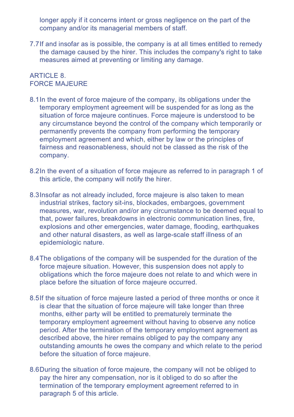longer apply if it concerns intent or gross negligence on the part of the company and/or its managerial members of staff.

7.7 If and insofar as is possible, the company is at all times entitled to remedy the damage caused by the hirer. This includes the company's right to take measures aimed at preventing or limiting any damage.

#### ARTICLE 8. FORCE MAJEURE

- 8.1 In the event of force majeure of the company, its obligations under the temporary employment agreement will be suspended for as long as the situation of force majeure continues. Force majeure is understood to be any circumstance beyond the control of the company which temporarily or permanently prevents the company from performing the temporary employment agreement and which, either by law or the principles of fairness and reasonableness, should not be classed as the risk of the company.
- 8.2 In the event of a situation of force majeure as referred to in paragraph 1 of this article, the company will notify the hirer.
- 8.3 Insofar as not already included, force majeure is also taken to mean industrial strikes, factory sit-ins, blockades, embargoes, government measures, war, revolution and/or any circumstance to be deemed equal to that, power failures, breakdowns in electronic communication lines, fire, explosions and other emergencies, water damage, flooding, earthquakes and other natural disasters, as well as large-scale staff illness of an epidemiologic nature.
- 8.4 The obligations of the company will be suspended for the duration of the force majeure situation. However, this suspension does not apply to obligations which the force majeure does not relate to and which were in place before the situation of force majeure occurred.
- 8.5 If the situation of force majeure lasted a period of three months or once it is clear that the situation of force majeure will take longer than three months, either party will be entitled to prematurely terminate the temporary employment agreement without having to observe any notice period. After the termination of the temporary employment agreement as described above, the hirer remains obliged to pay the company any outstanding amounts he owes the company and which relate to the period before the situation of force majeure.
- 8.6 During the situation of force majeure, the company will not be obliged to pay the hirer any compensation, nor is it obliged to do so after the termination of the temporary employment agreement referred to in paragraph 5 of this article.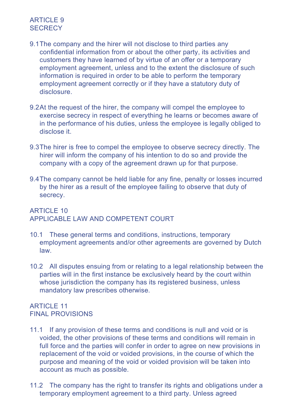### ARTICLE 9 **SECRECY**

- 9.1 The company and the hirer will not disclose to third parties any confidential information from or about the other party, its activities and customers they have learned of by virtue of an offer or a temporary employment agreement, unless and to the extent the disclosure of such information is required in order to be able to perform the temporary employment agreement correctly or if they have a statutory duty of disclosure.
- 9.2 At the request of the hirer, the company will compel the employee to exercise secrecy in respect of everything he learns or becomes aware of in the performance of his duties, unless the employee is legally obliged to disclose it.
- 9.3 The hirer is free to compel the employee to observe secrecy directly. The hirer will inform the company of his intention to do so and provide the company with a copy of the agreement drawn up for that purpose.
- 9.4 The company cannot be held liable for any fine, penalty or losses incurred by the hirer as a result of the employee failing to observe that duty of secrecy.

## ARTICLE 10 APPLICABLE LAW AND COMPETENT COURT

- 10.1 These general terms and conditions, instructions, temporary employment agreements and/or other agreements are governed by Dutch law.
- 10.2 All disputes ensuing from or relating to a legal relationship between the parties will in the first instance be exclusively heard by the court within whose jurisdiction the company has its registered business, unless mandatory law prescribes otherwise.

### ARTICLE 11 FINAL PROVISIONS

- 11.1 If any provision of these terms and conditions is null and void or is voided, the other provisions of these terms and conditions will remain in full force and the parties will confer in order to agree on new provisions in replacement of the void or voided provisions, in the course of which the purpose and meaning of the void or voided provision will be taken into account as much as possible.
- 11.2 The company has the right to transfer its rights and obligations under a temporary employment agreement to a third party. Unless agreed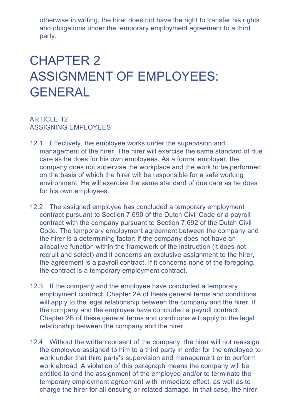otherwise in writing, the hirer does not have the right to transfer his rights and obligations under the temporary employment agreement to a third party.

# CHAPTER 2 ASSIGNMENT OF EMPI OYFFS. **GENERAL**

#### **ARTICLE 12** ASSIGNING EMPLOYEES

- 12.1 Effectively, the employee works under the supervision and management of the hirer. The hirer will exercise the same standard of due care as he does for his own employees. As a formal employer, the company does not supervise the workplace and the work to be performed, on the basis of which the hirer will be responsible for a safe working environment. He will exercise the same standard of due care as he does for his own employees.
- 12.2 The assigned employee has concluded a temporary employment contract pursuant to Section 7:690 of the Dutch Civil Code or a payroll contract with the company pursuant to Section 7:692 of the Dutch Civil Code. The temporary employment agreement between the company and the hirer is a determining factor: if the company does not have an allocative function within the framework of the instruction (it does not recruit and select) and it concerns an exclusive assignment to the hirer, the agreement is a payroll contract. If it concerns none of the foregoing, the contract is a temporary employment contract.
- 12.3 If the company and the employee have concluded a temporary employment contract, Chapter 2A of these general terms and conditions will apply to the legal relationship between the company and the hirer. If the company and the employee have concluded a payroll contract, Chapter 2B of these general terms and conditions will apply to the legal relationship between the company and the hirer.
- 12.4 Without the written consent of the company, the hirer will not reassign the employee assigned to him to a third party in order for the employee to work under that third party's supervision and management or to perform work abroad. A violation of this paragraph means the company will be entitled to end the assignment of the employee and/or to terminate the temporary employment agreement with immediate effect, as well as to charge the hirer for all ensuing or related damage. In that case, the hirer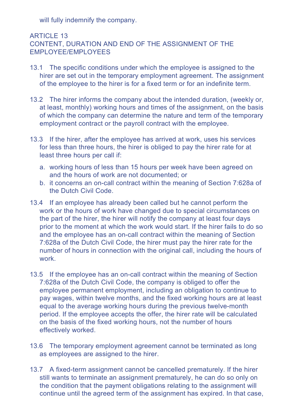will fully indemnify the company.

## **ARTICLE 13** CONTENT, DURATION AND END OF THE ASSIGNMENT OF THE EMPLOYEE/EMPLOYEES

- 13.1 The specific conditions under which the employee is assigned to the hirer are set out in the temporary employment agreement. The assignment of the employee to the hirer is for a fixed term or for an indefinite term.
- 13.2 The hirer informs the company about the intended duration, (weekly or, at least, monthly) working hours and times of the assignment, on the basis of which the company can determine the nature and term of the temporary employment contract or the payroll contract with the employee.
- 13.3 If the hirer, after the employee has arrived at work, uses his services for less than three hours, the hirer is obliged to pay the hirer rate for at least three hours per call if:
	- a. working hours of less than 15 hours per week have been agreed on and the hours of work are not documented; or
	- b. it concerns an on-call contract within the meaning of Section 7:628a of the Dutch Civil Code.
- 13.4 If an employee has already been called but he cannot perform the work or the hours of work have changed due to special circumstances on the part of the hirer, the hirer will notify the company at least four days prior to the moment at which the work would start. If the hirer fails to do so and the employee has an on-call contract within the meaning of Section 7:628a of the Dutch Civil Code, the hirer must pay the hirer rate for the number of hours in connection with the original call, including the hours of work.
- 13.5 If the employee has an on-call contract within the meaning of Section 7:628a of the Dutch Civil Code, the company is obliged to offer the employee permanent employment, including an obligation to continue to pay wages, within twelve months, and the fixed working hours are at least equal to the average working hours during the previous twelve-month period. If the employee accepts the offer, the hirer rate will be calculated on the basis of the fixed working hours, not the number of hours effectively worked.
- 13.6 The temporary employment agreement cannot be terminated as long as employees are assigned to the hirer.
- 13.7 A fixed-term assignment cannot be cancelled prematurely. If the hirer still wants to terminate an assignment prematurely, he can do so only on the condition that the payment obligations relating to the assignment will continue until the agreed term of the assignment has expired. In that case,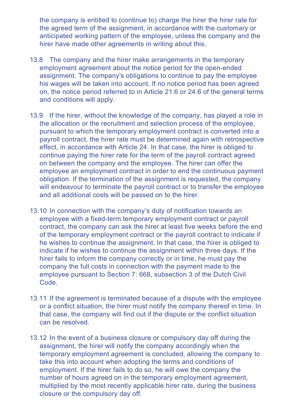the company is entitled to (continue to) charge the hirer the hirer rate for the agreed term of the assignment, in accordance with the customary or anticipated working pattern of the employee, unless the company and the hirer have made other agreements in writing about this.

- 13.8 The company and the hirer make arrangements in the temporary employment agreement about the notice period for the open-ended assignment. The company's obligations to continue to pay the employee his wages will be taken into account. If no notice period has been agreed on, the notice period referred to in Article 21.6 or 24.6 of the general terms and conditions will apply.
- 13.9 If the hirer, without the knowledge of the company, has played a role in the allocation or the recruitment and selection process of the employee, pursuant to which the temporary employment contract is converted into a payroll contract, the hirer rate must be determined again with retrospective effect, in accordance with Article 24. In that case, the hirer is obliged to continue paying the hirer rate for the term of the payroll contract agreed on between the company and the employee. The hirer can offer the employee an employment contract in order to end the continuous payment obligation. If the termination of the assignment is requested, the company will endeavour to terminate the payroll contract or to transfer the employee and all additional costs will be passed on to the hirer.
- 13.10 In connection with the company's duty of notification towards an employee with a fixed-term temporary employment contract or payroll contract, the company can ask the hirer at least five weeks before the end of the temporary employment contract or the payroll contract to indicate if he wishes to continue the assignment. In that case, the hirer is obliged to indicate if he wishes to continue the assignment within three days. If the hirer fails to inform the company correctly or in time, he must pay the company the full costs in connection with the payment made to the employee pursuant to Section 7: 668, subsection 3 of the Dutch Civil Code.
- 13.11 If the agreement is terminated because of a dispute with the employee or a conflict situation, the hirer must notify the company thereof in time. In that case, the company will find out if the dispute or the conflict situation can be resolved.
- 13.12 In the event of a business closure or compulsory day off during the assignment, the hirer will notify the company accordingly when the temporary employment agreement is concluded, allowing the company to take this into account when adopting the terms and conditions of employment. If the hirer fails to do so, he will owe the company the number of hours agreed on in the temporary employment agreement, multiplied by the most recently applicable hirer rate, during the business closure or the compulsory day off.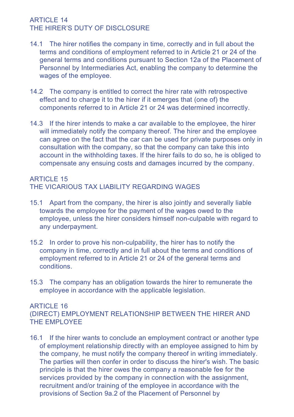#### ARTICLE 14 THE HIRER'S DUTY OF DISCLOSURE

- 14.1 The hirer notifies the company in time, correctly and in full about the terms and conditions of employment referred to in Article 21 or 24 of the general terms and conditions pursuant to Section 12a of the Placement of Personnel by Intermediaries Act, enabling the company to determine the wages of the employee.
- 14.2 The company is entitled to correct the hirer rate with retrospective effect and to charge it to the hirer if it emerges that (one of) the components referred to in Article 21 or 24 was determined incorrectly.
- 14.3 If the hirer intends to make a car available to the employee, the hirer will immediately notify the company thereof. The hirer and the employee can agree on the fact that the car can be used for private purposes only in consultation with the company, so that the company can take this into account in the withholding taxes. If the hirer fails to do so, he is obliged to compensate any ensuing costs and damages incurred by the company.

## **ARTICLE 15** THE VICARIOUS TAX LIABILITY REGARDING WAGES

- 15.1 Apart from the company, the hirer is also jointly and severally liable towards the employee for the payment of the wages owed to the employee, unless the hirer considers himself non-culpable with regard to any underpayment.
- 15.2 In order to prove his non-culpability, the hirer has to notify the company in time, correctly and in full about the terms and conditions of employment referred to in Article 21 or 24 of the general terms and conditions.
- 15.3 The company has an obligation towards the hirer to remunerate the employee in accordance with the applicable legislation.

#### ARTICLE 16

(DIRECT) EMPLOYMENT RELATIONSHIP BETWEEN THE HIRER AND THE EMPLOYEE

16.1 If the hirer wants to conclude an employment contract or another type of employment relationship directly with an employee assigned to him by the company, he must notify the company thereof in writing immediately. The parties will then confer in order to discuss the hirer's wish. The basic principle is that the hirer owes the company a reasonable fee for the services provided by the company in connection with the assignment, recruitment and/or training of the employee in accordance with the provisions of Section 9a.2 of the Placement of Personnel by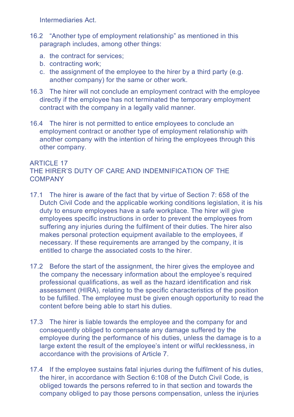Intermediaries Act.

- 16.2 "Another type of employment relationship" as mentioned in this paragraph includes, among other things:
	- a. the contract for services;
	- b. contracting work;
	- c. the assignment of the employee to the hirer by a third party (e.g. another company) for the same or other work.
- 16.3 The hirer will not conclude an employment contract with the employee directly if the employee has not terminated the temporary employment contract with the company in a legally valid manner.
- 16.4 The hirer is not permitted to entice employees to conclude an employment contract or another type of employment relationship with another company with the intention of hiring the employees through this other company.

#### **ARTICLE 17** THE HIRER'S DUTY OF CARE AND INDEMNIFICATION OF THE **COMPANY**

- 17.1 The hirer is aware of the fact that by virtue of Section 7: 658 of the Dutch Civil Code and the applicable working conditions legislation, it is his duty to ensure employees have a safe workplace. The hirer will give employees specific instructions in order to prevent the employees from suffering any injuries during the fulfilment of their duties. The hirer also makes personal protection equipment available to the employees, if necessary. If these requirements are arranged by the company, it is entitled to charge the associated costs to the hirer.
- 17.2 Before the start of the assignment, the hirer gives the employee and the company the necessary information about the employee's required professional qualifications, as well as the hazard identification and risk assessment (HIRA), relating to the specific characteristics of the position to be fulfilled. The employee must be given enough opportunity to read the content before being able to start his duties.
- 17.3 The hirer is liable towards the employee and the company for and consequently obliged to compensate any damage suffered by the employee during the performance of his duties, unless the damage is to a large extent the result of the employee's intent or wilful recklessness, in accordance with the provisions of Article 7.
- 17.4 If the employee sustains fatal injuries during the fulfilment of his duties, the hirer, in accordance with Section 6:108 of the Dutch Civil Code, is obliged towards the persons referred to in that section and towards the company obliged to pay those persons compensation, unless the injuries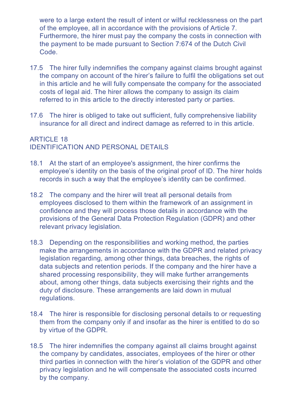were to a large extent the result of intent or wilful recklessness on the part of the employee, all in accordance with the provisions of Article 7. Furthermore, the hirer must pay the company the costs in connection with the payment to be made pursuant to Section 7:674 of the Dutch Civil Code.

- 17.5 The hirer fully indemnifies the company against claims brought against the company on account of the hirer's failure to fulfil the obligations set out in this article and he will fully compensate the company for the associated costs of legal aid. The hirer allows the company to assign its claim referred to in this article to the directly interested party or parties.
- 17.6 The hirer is obliged to take out sufficient, fully comprehensive liability insurance for all direct and indirect damage as referred to in this article.

## ARTICLE 18 IDENTIFICATION AND PERSONAL DETAILS

- 18.1 At the start of an employee's assignment, the hirer confirms the employee's identity on the basis of the original proof of ID. The hirer holds records in such a way that the employee's identity can be confirmed.
- 18.2 The company and the hirer will treat all personal details from employees disclosed to them within the framework of an assignment in confidence and they will process those details in accordance with the provisions of the General Data Protection Regulation (GDPR) and other relevant privacy legislation.
- 18.3 Depending on the responsibilities and working method, the parties make the arrangements in accordance with the GDPR and related privacy legislation regarding, among other things, data breaches, the rights of data subjects and retention periods. If the company and the hirer have a shared processing responsibility, they will make further arrangements about, among other things, data subjects exercising their rights and the duty of disclosure. These arrangements are laid down in mutual regulations.
- 18.4 The hirer is responsible for disclosing personal details to or requesting them from the company only if and insofar as the hirer is entitled to do so by virtue of the GDPR.
- 18.5 The hirer indemnifies the company against all claims brought against the company by candidates, associates, employees of the hirer or other third parties in connection with the hirer's violation of the GDPR and other privacy legislation and he will compensate the associated costs incurred by the company.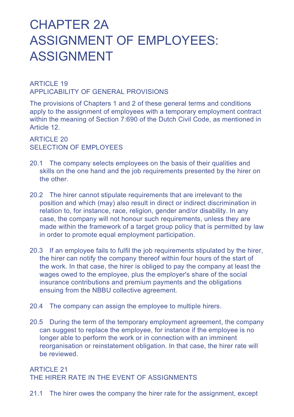# CHAPTER 2A ASSIGNMENT OF EMPLOYEES: ASSIGNMENT

#### ARTICLE 19 APPLICABILITY OF GENERAL PROVISIONS

The provisions of Chapters 1 and 2 of these general terms and conditions apply to the assignment of employees with a temporary employment contract within the meaning of Section 7:690 of the Dutch Civil Code, as mentioned in Article 12.

ARTICLE 20 SELECTION OF EMPLOYEES

- 20.1 The company selects employees on the basis of their qualities and skills on the one hand and the job requirements presented by the hirer on the other.
- 20.2 The hirer cannot stipulate requirements that are irrelevant to the position and which (may) also result in direct or indirect discrimination in relation to, for instance, race, religion, gender and/or disability. In any case, the company will not honour such requirements, unless they are made within the framework of a target group policy that is permitted by law in order to promote equal employment participation.
- 20.3 If an employee fails to fulfil the job requirements stipulated by the hirer, the hirer can notify the company thereof within four hours of the start of the work. In that case, the hirer is obliged to pay the company at least the wages owed to the employee, plus the employer's share of the social insurance contributions and premium payments and the obligations ensuing from the NBBU collective agreement.
- 20.4 The company can assign the employee to multiple hirers.
- 20.5 During the term of the temporary employment agreement, the company can suggest to replace the employee, for instance if the employee is no longer able to perform the work or in connection with an imminent reorganisation or reinstatement obligation. In that case, the hirer rate will be reviewed.

### **ARTICLE 21** THE HIRER RATE IN THE EVENT OF ASSIGNMENTS

21.1 The hirer owes the company the hirer rate for the assignment, except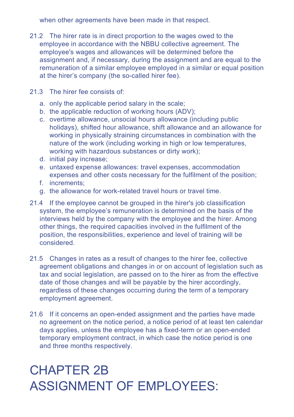when other agreements have been made in that respect.

- 21.2 The hirer rate is in direct proportion to the wages owed to the employee in accordance with the NBBU collective agreement. The employee's wages and allowances will be determined before the assignment and, if necessary, during the assignment and are equal to the remuneration of a similar employee employed in a similar or equal position at the hirer's company (the so-called hirer fee).
- 21.3 The hirer fee consists of:
	- a. only the applicable period salary in the scale;
	- b. the applicable reduction of working hours (ADV);
	- c. overtime allowance, unsocial hours allowance (including public holidays), shifted hour allowance, shift allowance and an allowance for working in physically straining circumstances in combination with the nature of the work (including working in high or low temperatures, working with hazardous substances or dirty work);
	- d. initial pay increase;
	- e. untaxed expense allowances: travel expenses, accommodation expenses and other costs necessary for the fulfilment of the position;
	- f. increments;
	- g. the allowance for work-related travel hours or travel time.
- 21.4 If the employee cannot be grouped in the hirer's job classification system, the employee's remuneration is determined on the basis of the interviews held by the company with the employee and the hirer. Among other things, the required capacities involved in the fulfilment of the position, the responsibilities, experience and level of training will be considered.
- 21.5 Changes in rates as a result of changes to the hirer fee, collective agreement obligations and changes in or on account of legislation such as tax and social legislation, are passed on to the hirer as from the effective date of those changes and will be payable by the hirer accordingly, regardless of these changes occurring during the term of a temporary employment agreement.
- 21.6 If it concerns an open-ended assignment and the parties have made no agreement on the notice period, a notice period of at least ten calendar days applies, unless the employee has a fixed-term or an open-ended temporary employment contract, in which case the notice period is one and three months respectively.

# CHAPTER 2B ASSIGNMENT OF EMPI OYFFS.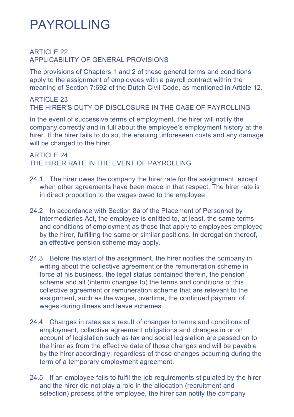## PAYROLLING

#### **ARTICLE 22** APPLICABILITY OF GENERAL PROVISIONS

The provisions of Chapters 1 and 2 of these general terms and conditions apply to the assignment of employees with a payroll contract within the meaning of Section 7:692 of the Dutch Civil Code, as mentioned in Article 12.

ARTICLE 23 THE HIRER'S DUTY OF DISCLOSURE IN THE CASE OF PAYROLLING

In the event of successive terms of employment, the hirer will notify the company correctly and in full about the employee's employment history at the hirer. If the hirer fails to do so, the ensuing unforeseen costs and any damage will be charged to the hirer.

**ARTICLE 24** THE HIRER RATE IN THE EVENT OF PAYROLLING

- 24.1 The hirer owes the company the hirer rate for the assignment, except when other agreements have been made in that respect. The hirer rate is in direct proportion to the wages owed to the employee.
- 24.2. In accordance with Section 8a of the Placement of Personnel by Intermediaries Act, the employee is entitled to, at least, the same terms and conditions of employment as those that apply to employees employed by the hirer, fulfilling the same or similar positions. In derogation thereof, an effective pension scheme may apply.
- 24.3 Before the start of the assignment, the hirer notifies the company in writing about the collective agreement or the remuneration scheme in force at his business, the legal status contained therein, the pension scheme and all (interim changes to) the terms and conditions of this collective agreement or remuneration scheme that are relevant to the assignment, such as the wages, overtime, the continued payment of wages during illness and leave schemes.
- 24.4 Changes in rates as a result of changes to terms and conditions of employment, collective agreement obligations and changes in or on account of legislation such as tax and social legislation are passed on to the hirer as from the effective date of those changes and will be payable by the hirer accordingly, regardless of these changes occurring during the term of a temporary employment agreement.
- 24.5 If an employee fails to fulfil the job requirements stipulated by the hirer and the hirer did not play a role in the allocation (recruitment and selection) process of the employee, the hirer can notify the company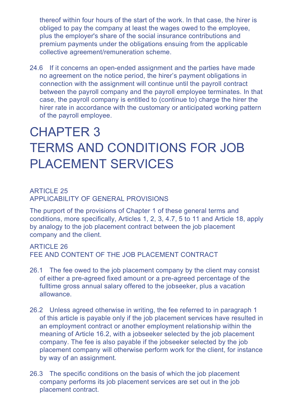thereof within four hours of the start of the work. In that case, the hirer is obliged to pay the company at least the wages owed to the employee, plus the employer's share of the social insurance contributions and premium payments under the obligations ensuing from the applicable collective agreement/remuneration scheme.

24.6 If it concerns an open-ended assignment and the parties have made no agreement on the notice period, the hirer's payment obligations in connection with the assignment will continue until the payroll contract between the payroll company and the payroll employee terminates. In that case, the payroll company is entitled to (continue to) charge the hirer the hirer rate in accordance with the customary or anticipated working pattern of the payroll employee.

# CHAPTER 3 TERMS AND CONDITIONS FOR JOB PLACEMENT SERVICES

#### **ARTICLE 25** APPLICABILITY OF GENERAL PROVISIONS

The purport of the provisions of Chapter 1 of these general terms and conditions, more specifically, Articles 1, 2, 3, 4.7, 5 to 11 and Article 18, apply by analogy to the job placement contract between the job placement company and the client.

### **ARTICLE 26** FEE AND CONTENT OF THE JOB PLACEMENT CONTRACT

- 26.1 The fee owed to the job placement company by the client may consist of either a pre-agreed fixed amount or a pre-agreed percentage of the fulltime gross annual salary offered to the jobseeker, plus a vacation allowance.
- 26.2 Unless agreed otherwise in writing, the fee referred to in paragraph 1 of this article is payable only if the job placement services have resulted in an employment contract or another employment relationship within the meaning of Article 16.2, with a jobseeker selected by the job placement company. The fee is also payable if the jobseeker selected by the job placement company will otherwise perform work for the client, for instance by way of an assignment.
- 26.3 The specific conditions on the basis of which the job placement company performs its job placement services are set out in the job placement contract.